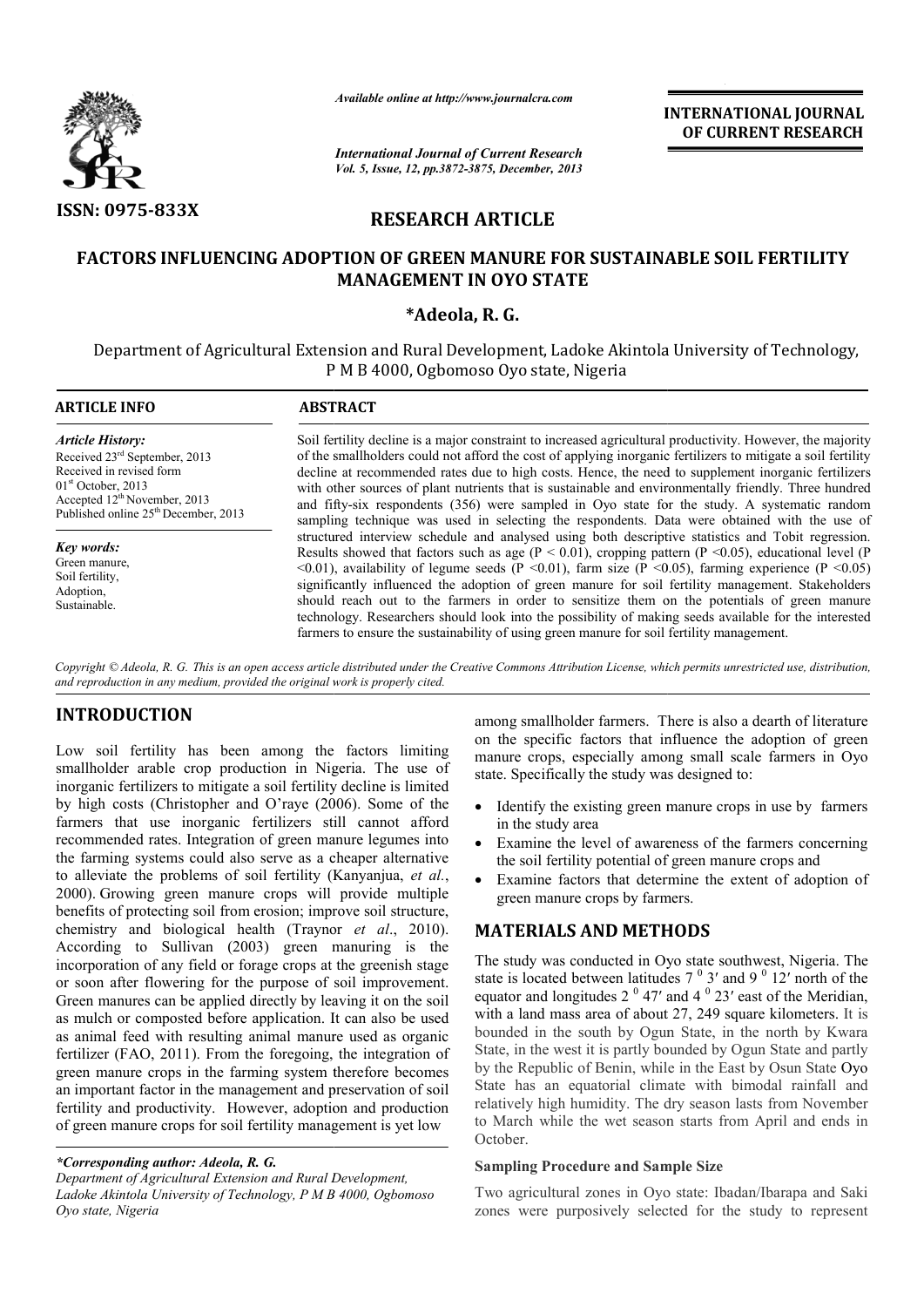

*Available online at http://www.journalcra.com*

# RESEARCH ARTICLE

### FACTORS INFLUENCING ADOPTION OF GREEN MANURE FOR SUSTAINABLE SOIL FERTILITY FACTORS INFLUENCING MANAGEMENT IN OYO STATE

### \*Adeola, R. G.

|                                                                                                                                                                                                                                                                                                                                                                                                                                                                                                                                                                                                                                                                                                                                                                                                                                                               |                                                                                                                                                                                                                                                                                                                                                                                                                                                                                                                                                                                                                                                                                                                                     | <b>INTERNATIONAL JOURNAL</b><br>OF CURRENT RESEARCH                                                                                                                                                                                                                                                                                                                                                                                                                                                                                                                                                                                                                                                                       |  |  |
|---------------------------------------------------------------------------------------------------------------------------------------------------------------------------------------------------------------------------------------------------------------------------------------------------------------------------------------------------------------------------------------------------------------------------------------------------------------------------------------------------------------------------------------------------------------------------------------------------------------------------------------------------------------------------------------------------------------------------------------------------------------------------------------------------------------------------------------------------------------|-------------------------------------------------------------------------------------------------------------------------------------------------------------------------------------------------------------------------------------------------------------------------------------------------------------------------------------------------------------------------------------------------------------------------------------------------------------------------------------------------------------------------------------------------------------------------------------------------------------------------------------------------------------------------------------------------------------------------------------|---------------------------------------------------------------------------------------------------------------------------------------------------------------------------------------------------------------------------------------------------------------------------------------------------------------------------------------------------------------------------------------------------------------------------------------------------------------------------------------------------------------------------------------------------------------------------------------------------------------------------------------------------------------------------------------------------------------------------|--|--|
|                                                                                                                                                                                                                                                                                                                                                                                                                                                                                                                                                                                                                                                                                                                                                                                                                                                               | <b>International Journal of Current Research</b><br>Vol. 5, Issue, 12, pp.3872-3875, December, 2013                                                                                                                                                                                                                                                                                                                                                                                                                                                                                                                                                                                                                                 |                                                                                                                                                                                                                                                                                                                                                                                                                                                                                                                                                                                                                                                                                                                           |  |  |
| <b>ISSN: 0975-833X</b><br><b>RESEARCH ARTICLE</b>                                                                                                                                                                                                                                                                                                                                                                                                                                                                                                                                                                                                                                                                                                                                                                                                             |                                                                                                                                                                                                                                                                                                                                                                                                                                                                                                                                                                                                                                                                                                                                     |                                                                                                                                                                                                                                                                                                                                                                                                                                                                                                                                                                                                                                                                                                                           |  |  |
|                                                                                                                                                                                                                                                                                                                                                                                                                                                                                                                                                                                                                                                                                                                                                                                                                                                               |                                                                                                                                                                                                                                                                                                                                                                                                                                                                                                                                                                                                                                                                                                                                     | <b>FACTORS INFLUENCING ADOPTION OF GREEN MANURE FOR SUSTAINABLE SOIL FERTILITY</b><br><b>MANAGEMENT IN OYO STATE</b>                                                                                                                                                                                                                                                                                                                                                                                                                                                                                                                                                                                                      |  |  |
|                                                                                                                                                                                                                                                                                                                                                                                                                                                                                                                                                                                                                                                                                                                                                                                                                                                               |                                                                                                                                                                                                                                                                                                                                                                                                                                                                                                                                                                                                                                                                                                                                     | *Adeola, R. G.                                                                                                                                                                                                                                                                                                                                                                                                                                                                                                                                                                                                                                                                                                            |  |  |
|                                                                                                                                                                                                                                                                                                                                                                                                                                                                                                                                                                                                                                                                                                                                                                                                                                                               |                                                                                                                                                                                                                                                                                                                                                                                                                                                                                                                                                                                                                                                                                                                                     | Department of Agricultural Extension and Rural Development, Ladoke Akintola University of Technology,<br>P M B 4000, Ogbomoso Oyo state, Nigeria                                                                                                                                                                                                                                                                                                                                                                                                                                                                                                                                                                          |  |  |
| <b>ARTICLE INFO</b>                                                                                                                                                                                                                                                                                                                                                                                                                                                                                                                                                                                                                                                                                                                                                                                                                                           | <b>ABSTRACT</b>                                                                                                                                                                                                                                                                                                                                                                                                                                                                                                                                                                                                                                                                                                                     |                                                                                                                                                                                                                                                                                                                                                                                                                                                                                                                                                                                                                                                                                                                           |  |  |
| <b>Article History:</b><br>Received 23 <sup>rd</sup> September, 2013<br>Received in revised form<br>$01st$ October, 2013<br>Accepted 12 <sup>th</sup> November, 2013<br>Published online 25 <sup>th</sup> December, 2013                                                                                                                                                                                                                                                                                                                                                                                                                                                                                                                                                                                                                                      | Soil fertility decline is a major constraint to increased agricultural productivity. However, the majority<br>of the smallholders could not afford the cost of applying inorganic fertilizers to mitigate a soil fertility<br>decline at recommended rates due to high costs. Hence, the need to supplement inorganic fertilizers<br>with other sources of plant nutrients that is sustainable and environmentally friendly. Three hundred<br>and fifty-six respondents (356) were sampled in Oyo state for the study. A systematic random<br>sampling technique was used in selecting the respondents. Data were obtained with the use of                                                                                          |                                                                                                                                                                                                                                                                                                                                                                                                                                                                                                                                                                                                                                                                                                                           |  |  |
| <b>Key words:</b><br>Green manure,<br>Soil fertility,<br>Adoption,<br>Sustainable.                                                                                                                                                                                                                                                                                                                                                                                                                                                                                                                                                                                                                                                                                                                                                                            | structured interview schedule and analysed using both descriptive statistics and Tobit regression.<br>Results showed that factors such as age ( $P < 0.01$ ), cropping pattern ( $P < 0.05$ ), educational level (P<br><0.01), availability of legume seeds (P <0.01), farm size (P <0.05), farming experience (P <0.05)<br>significantly influenced the adoption of green manure for soil fertility management. Stakeholders<br>should reach out to the farmers in order to sensitize them on the potentials of green manure<br>technology. Researchers should look into the possibility of making seeds available for the interested<br>farmers to ensure the sustainability of using green manure for soil fertility management. |                                                                                                                                                                                                                                                                                                                                                                                                                                                                                                                                                                                                                                                                                                                           |  |  |
| and reproduction in any medium, provided the original work is properly cited.                                                                                                                                                                                                                                                                                                                                                                                                                                                                                                                                                                                                                                                                                                                                                                                 |                                                                                                                                                                                                                                                                                                                                                                                                                                                                                                                                                                                                                                                                                                                                     | Copyright © Adeola, R. G. This is an open access article distributed under the Creative Commons Attribution License, which permits unrestricted use, distribution,                                                                                                                                                                                                                                                                                                                                                                                                                                                                                                                                                        |  |  |
| <b>INTRODUCTION</b><br>Low soil fertility has been among the factors limiting<br>smallholder arable crop production in Nigeria. The use of<br>inorganic fertilizers to mitigate a soil fertility decline is limited                                                                                                                                                                                                                                                                                                                                                                                                                                                                                                                                                                                                                                           |                                                                                                                                                                                                                                                                                                                                                                                                                                                                                                                                                                                                                                                                                                                                     | among smallholder farmers. There is also a dearth of literature<br>on the specific factors that influence the adoption of green<br>manure crops, especially among small scale farmers in Oyo<br>state. Specifically the study was designed to:                                                                                                                                                                                                                                                                                                                                                                                                                                                                            |  |  |
| by high costs (Christopher and O'raye (2006). Some of the<br>farmers that use inorganic fertilizers still cannot afford<br>recommended rates. Integration of green manure legumes into<br>the farming systems could also serve as a cheaper alternative<br>to alleviate the problems of soil fertility (Kanyanjua, et al.,<br>2000). Growing green manure crops will provide multiple                                                                                                                                                                                                                                                                                                                                                                                                                                                                         |                                                                                                                                                                                                                                                                                                                                                                                                                                                                                                                                                                                                                                                                                                                                     | Identify the existing green manure crops in use by farmers<br>$\bullet$<br>in the study area<br>Examine the level of awareness of the farmers concerning<br>the soil fertility potential of green manure crops and<br>Examine factors that determine the extent of adoption of<br>green manure crops by farmers.                                                                                                                                                                                                                                                                                                                                                                                                          |  |  |
| benefits of protecting soil from erosion; improve soil structure,<br>chemistry and biological health (Traynor et al., 2010).<br>According to Sullivan (2003) green manuring is the<br>incorporation of any field or forage crops at the greenish stage<br>or soon after flowering for the purpose of soil improvement.<br>Green manures can be applied directly by leaving it on the soil<br>as mulch or composted before application. It can also be used<br>as animal feed with resulting animal manure used as organic<br>fertilizer (FAO, 2011). From the foregoing, the integration of<br>green manure crops in the farming system therefore becomes<br>an important factor in the management and preservation of soil<br>fertility and productivity. However, adoption and production<br>of green manure crops for soil fertility management is yet low |                                                                                                                                                                                                                                                                                                                                                                                                                                                                                                                                                                                                                                                                                                                                     | <b>MATERIALS AND METHODS</b><br>The study was conducted in Oyo state southwest, Nigeria. The<br>state is located between latitudes $70 3'$ and $90 12'$ north of the<br>equator and longitudes $2^0$ 47' and $4^0$ 23' east of the Meridian,<br>with a land mass area of about 27, 249 square kilometers. It is<br>bounded in the south by Ogun State, in the north by Kwara<br>State, in the west it is partly bounded by Ogun State and partly<br>by the Republic of Benin, while in the East by Osun State Oyo<br>State has an equatorial climate with bimodal rainfall and<br>relatively high humidity. The dry season lasts from November<br>to March while the wet season starts from April and ends in<br>October. |  |  |
| *Corresponding author: Adeola, R. G.<br>Department of Agricultural Extension and Rural Development,<br>Ladoke Akintola University of Technology, P M B 4000, Ogbomoso<br>Oyo state, Nigeria                                                                                                                                                                                                                                                                                                                                                                                                                                                                                                                                                                                                                                                                   |                                                                                                                                                                                                                                                                                                                                                                                                                                                                                                                                                                                                                                                                                                                                     | <b>Sampling Procedure and Sample Size</b><br>Two agricultural zones in Oyo state: Ibadan/Ibarapa and Saki<br>zones were purposively selected for the study to represent                                                                                                                                                                                                                                                                                                                                                                                                                                                                                                                                                   |  |  |

### INTRODUCTION

- Identify the existing green manure crops in use by farmers in the study area
- Examine the level of awareness of the farmers concerning the soil fertility potential of green manure crops and
- Examine factors that determine the extent of adoption of green manure crops by farmers.

## MATERIALS AND METHODS

### Sampling Procedure and Sample Size

*<sup>\*</sup>Corresponding author: Adeola, R. G.*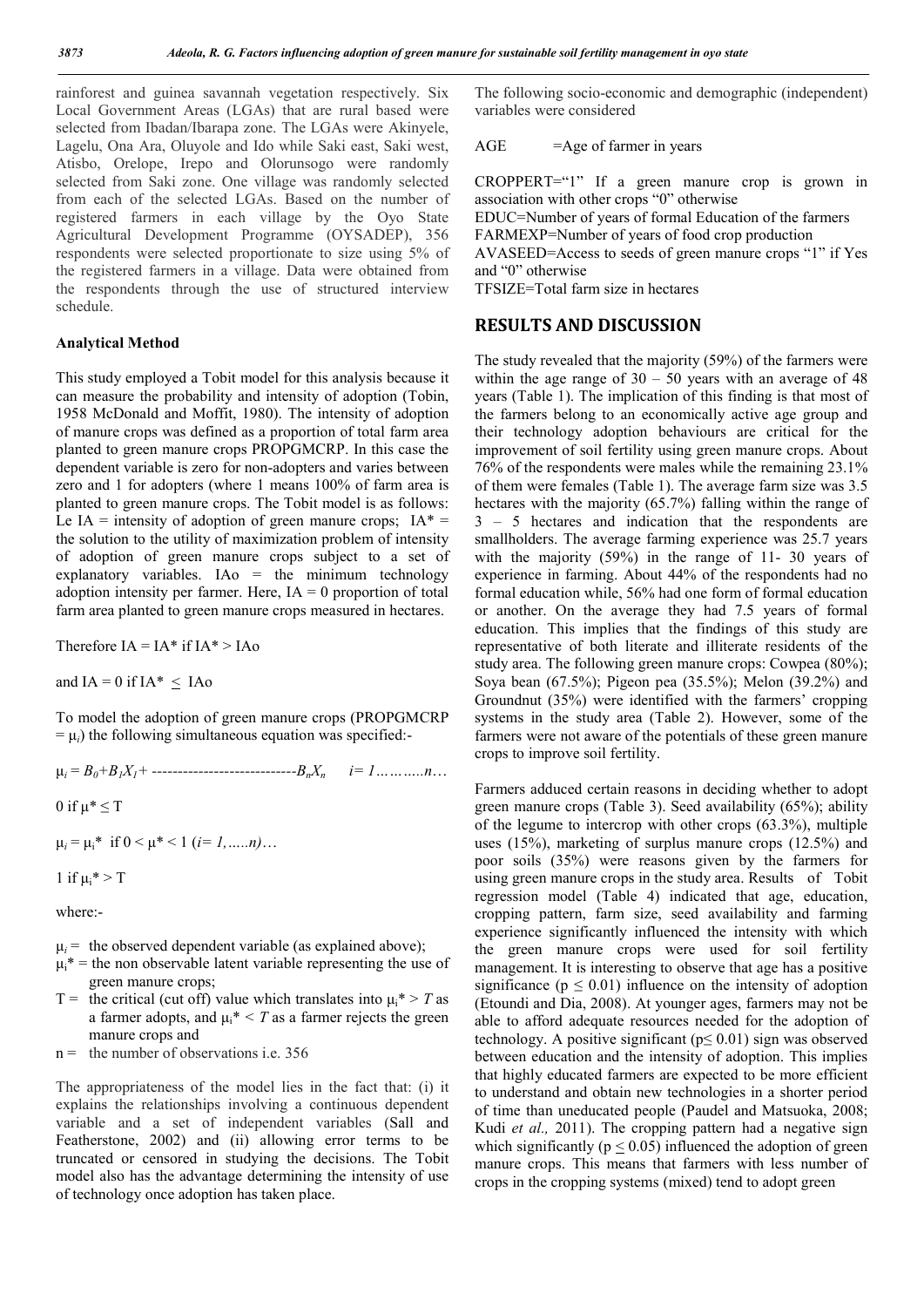rainforest and guinea savannah vegetation respectively. Six Local Government Areas (LGAs) that are rural based were selected from Ibadan/Ibarapa zone. The LGAs were Akinyele, Lagelu, Ona Ara, Oluyole and Ido while Saki east, Saki west, Atisbo, Orelope, Irepo and Olorunsogo were randomly selected from Saki zone. One village was randomly selected from each of the selected LGAs. Based on the number of registered farmers in each village by the Oyo State Agricultural Development Programme (OYSADEP), 356 respondents were selected proportionate to size using 5% of the registered farmers in a village. Data were obtained from the respondents through the use of structured interview schedule.

#### Analytical Method

This study employed a Tobit model for this analysis because it can measure the probability and intensity of adoption (Tobin, 1958 McDonald and Moffit, 1980). The intensity of adoption of manure crops was defined as a proportion of total farm area planted to green manure crops PROPGMCRP. In this case the dependent variable is zero for non-adopters and varies between zero and 1 for adopters (where 1 means 100% of farm area is planted to green manure crops. The Tobit model is as follows: Le IA = intensity of adoption of green manure crops;  $IA* =$ the solution to the utility of maximization problem of intensity of adoption of green manure crops subject to a set of explanatory variables. IAo = the minimum technology adoption intensity per farmer. Here,  $IA = 0$  proportion of total farm area planted to green manure crops measured in hectares.

Therefore  $IA = IA * if IA * > IA$ 

and IA = 0 if IA\*  $\leq$  IAo

To model the adoption of green manure crops (PROPGMCRP  $= \mu_i$ ) the following simultaneous equation was specified:

μ*<sup>i</sup>* = *B0+B1X1+ ----------------------------BnXn i= 1………..n*…

0 if  $\mu^* \leq T$ 

 $\mu_i = \mu_i^*$  if  $0 \le \mu^* \le 1$  (*i*= *1*, ... *n*)...

1 if  $\mu_i^* > T$ 

where:-

- $\mu_i$  = the observed dependent variable (as explained above);
- $\mu_i^*$  = the non observable latent variable representing the use of green manure crops;
- T = the critical (cut off) value which translates into  $\mu_i^*$  > *T* as a farmer adopts, and  $\mu_i^* \leq T$  as a farmer rejects the green manure crops and
- $n =$  the number of observations i.e. 356

The appropriateness of the model lies in the fact that: (i) it explains the relationships involving a continuous dependent variable and a set of independent variables (Sall and Featherstone, 2002) and (ii) allowing error terms to be truncated or censored in studying the decisions. The Tobit model also has the advantage determining the intensity of use of technology once adoption has taken place.

The following socio-economic and demographic (independent) variables were considered

 $AGE$  =Age of farmer in years

CROPPERT="1" If a green manure crop is grown in association with other crops "0" otherwise

EDUC=Number of years of formal Education of the farmers FARMEXP=Number of years of food crop production AVASEED=Access to seeds of green manure crops "1" if Yes and "0" otherwise

TFSIZE=Total farm size in hectares

### RESULTS AND DISCUSSION

The study revealed that the majority (59%) of the farmers were within the age range of  $30 - 50$  years with an average of 48 years (Table 1). The implication of this finding is that most of the farmers belong to an economically active age group and their technology adoption behaviours are critical for the improvement of soil fertility using green manure crops. About 76% of the respondents were males while the remaining 23.1% of them were females (Table 1). The average farm size was 3.5 hectares with the majority (65.7%) falling within the range of 3 – 5 hectares and indication that the respondents are smallholders. The average farming experience was 25.7 years with the majority (59%) in the range of 11- 30 years of experience in farming. About 44% of the respondents had no formal education while, 56% had one form of formal education or another. On the average they had 7.5 years of formal education. This implies that the findings of this study are representative of both literate and illiterate residents of the study area. The following green manure crops: Cowpea (80%); Soya bean (67.5%); Pigeon pea (35.5%); Melon (39.2%) and Groundnut (35%) were identified with the farmers' cropping systems in the study area (Table 2). However, some of the farmers were not aware of the potentials of these green manure crops to improve soil fertility.

Farmers adduced certain reasons in deciding whether to adopt green manure crops (Table 3). Seed availability (65%); ability of the legume to intercrop with other crops (63.3%), multiple uses (15%), marketing of surplus manure crops (12.5%) and poor soils (35%) were reasons given by the farmers for using green manure crops in the study area. Results of Tobit regression model (Table 4) indicated that age, education, cropping pattern, farm size, seed availability and farming experience significantly influenced the intensity with which the green manure crops were used for soil fertility management. It is interesting to observe that age has a positive significance ( $p \le 0.01$ ) influence on the intensity of adoption (Etoundi and Dia, 2008). At younger ages, farmers may not be able to afford adequate resources needed for the adoption of technology. A positive significant ( $p \le 0.01$ ) sign was observed between education and the intensity of adoption. This implies that highly educated farmers are expected to be more efficient to understand and obtain new technologies in a shorter period of time than uneducated people (Paudel and Matsuoka, 2008; Kudi *et al.*, 2011). The cropping pattern had a negative sign which significantly  $(p < 0.05)$  influenced the adoption of green manure crops. This means that farmers with less number of crops in the cropping systems (mixed) tend to adopt green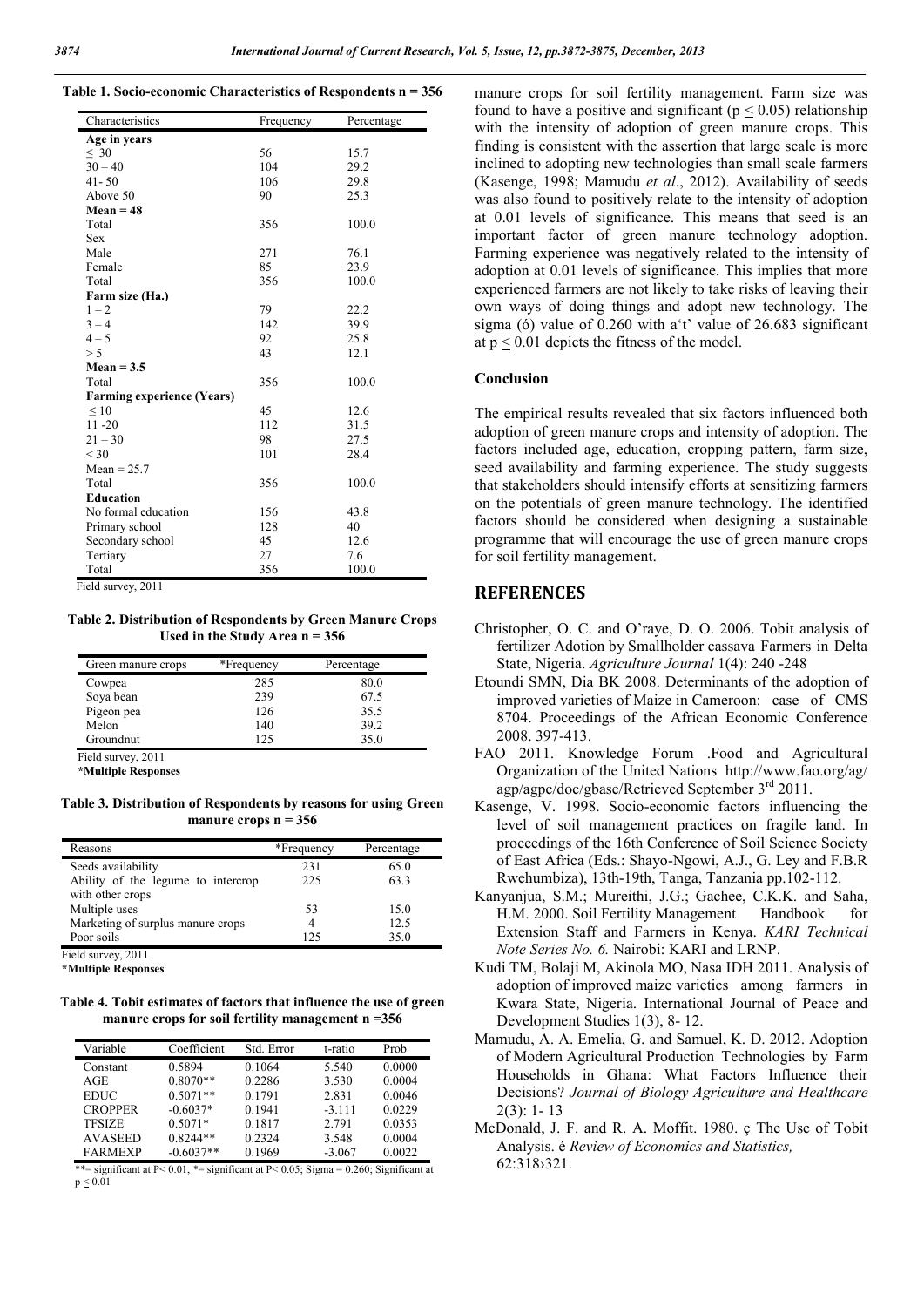|  |  |  | Table 1. Socio-economic Characteristics of Respondents $n = 356$ |  |
|--|--|--|------------------------------------------------------------------|--|
|  |  |  |                                                                  |  |

| Characteristics                   | Frequency | Percentage |
|-----------------------------------|-----------|------------|
| Age in years                      |           |            |
| $\leq 30$                         | 56        | 15.7       |
| $30 - 40$                         | 104       | 29.2       |
| $41 - 50$                         | 106       | 29.8       |
| Above 50                          | 90        | 25.3       |
| $Mean = 48$                       |           |            |
| Total                             | 356       | 100.0      |
| <b>Sex</b>                        |           |            |
| Male                              | 271       | 76.1       |
| Female                            | 85        | 23.9       |
| Total                             | 356       | 100.0      |
| Farm size (Ha.)                   |           |            |
| $1 - 2$                           | 79        | 22.2       |
| $3 - 4$                           | 142       | 39.9       |
| $4 - 5$                           | 92        | 25.8       |
| > 5                               | 43        | 12.1       |
| $Mean = 3.5$                      |           |            |
| Total                             | 356       | 100.0      |
| <b>Farming experience (Years)</b> |           |            |
| $\leq 10$                         | 45        | 12.6       |
| $11 - 20$                         | 112       | 31.5       |
| $21 - 30$                         | 98        | 27.5       |
| $<$ 30                            | 101       | 28.4       |
| $Mean = 25.7$                     |           |            |
| Total                             | 356       | 100.0      |
| <b>Education</b>                  |           |            |
| No formal education               | 156       | 43.8       |
| Primary school                    | 128       | 40         |
| Secondary school                  | 45        | 12.6       |
| Tertiary                          | 27        | 7.6        |
| Total                             | 356       | 100.0      |

Field survey, 2011

Table 2. Distribution of Respondents by Green Manure Crops Used in the Study Area  $n = 356$ 

| Green manure crops | *Frequency | Percentage |
|--------------------|------------|------------|
| Cowpea             | 285        | 80.0       |
| Soya bean          | 239        | 67.5       |
| Pigeon pea         | 126        | 35.5       |
| Melon              | 140        | 39.2       |
| Groundnut          | 125        | 35.0       |
| Field survey, 2011 |            |            |

\*Multiple Responses

Table 3. Distribution of Respondents by reasons for using Green manure crops  $n = 356$ 

| Reasons                            | *Frequency | Percentage |
|------------------------------------|------------|------------|
| Seeds availability                 | 231        | 65.0       |
| Ability of the legume to intercrop | 225        | 63.3       |
| with other crops                   |            |            |
| Multiple uses                      | 53         | 15.0       |
| Marketing of surplus manure crops  |            | 12.5       |
| Poor soils                         | 125        | 35.0       |
| _ _ _ _                            |            |            |

Field survey, 2011

\*Multiple Responses

Table 4. Tobit estimates of factors that influence the use of green manure crops for soil fertility management n =356

| Variable       | Coefficient | Std. Error | t-ratio  | Prob   |
|----------------|-------------|------------|----------|--------|
| Constant       | 0.5894      | 0.1064     | 5.540    | 0.0000 |
| AGE            | $0.8070**$  | 0.2286     | 3.530    | 0.0004 |
| <b>EDUC</b>    | $0.5071**$  | 0.1791     | 2.831    | 0.0046 |
| <b>CROPPER</b> | $-0.6037*$  | 0.1941     | $-3.111$ | 0.0229 |
| <b>TFSIZE</b>  | $0.5071*$   | 0.1817     | 2.791    | 0.0353 |
| <b>AVASEED</b> | $0.8244**$  | 0.2324     | 3.548    | 0.0004 |
| <b>FARMEXP</b> | $-0.6037**$ | 0.1969     | $-3.067$ | 0.0022 |

\*\*= significant at P< 0.01, \*= significant at P< 0.05; Sigma = 0.260; Significant at  $p < 0.01$ 

manure crops for soil fertility management. Farm size was found to have a positive and significant ( $p \le 0.05$ ) relationship with the intensity of adoption of green manure crops. This finding is consistent with the assertion that large scale is more inclined to adopting new technologies than small scale farmers (Kasenge, 1998; Mamudu *et al*., 2012). Availability of seeds was also found to positively relate to the intensity of adoption at 0.01 levels of significance. This means that seed is an important factor of green manure technology adoption. Farming experience was negatively related to the intensity of adoption at 0.01 levels of significance. This implies that more experienced farmers are not likely to take risks of leaving their own ways of doing things and adopt new technology. The sigma (ó) value of 0.260 with a't' value of 26.683 significant at  $p \le 0.01$  depicts the fitness of the model.

#### Conclusion

The empirical results revealed that six factors influenced both adoption of green manure crops and intensity of adoption. The factors included age, education, cropping pattern, farm size, seed availability and farming experience. The study suggests that stakeholders should intensify efforts at sensitizing farmers on the potentials of green manure technology. The identified factors should be considered when designing a sustainable programme that will encourage the use of green manure crops for soil fertility management.

#### **REFERENCES**

- Christopher, O. C. and O'raye, D. O. 2006. Tobit analysis of fertilizer Adotion by Smallholder cassava Farmers in Delta State, Nigeria. *Agriculture Journal* 1(4): 240 -248
- Etoundi SMN, Dia BK 2008. Determinants of the adoption of improved varieties of Maize in Cameroon: case of CMS 8704. Proceedings of the African Economic Conference 2008. 397-413.
- FAO 2011. Knowledge Forum .Food and Agricultural Organization of the United Nations http://www.fao.org/ag/ agp/agpc/doc/gbase/Retrieved September 3rd 2011.
- Kasenge, V. 1998. Socio-economic factors influencing the level of soil management practices on fragile land. In proceedings of the 16th Conference of Soil Science Society of East Africa (Eds.: Shayo-Ngowi, A.J., G. Ley and F.B.R Rwehumbiza), 13th-19th, Tanga, Tanzania pp.102-112.
- Kanyanjua, S.M.; Mureithi, J.G.; Gachee, C.K.K. and Saha, H.M. 2000. Soil Fertility Management Handbook for Extension Staff and Farmers in Kenya. *KARI Technical Note Series No. 6.* Nairobi: KARI and LRNP.
- Kudi TM, Bolaji M, Akinola MO, Nasa IDH 2011. Analysis of adoption of improved maize varieties among farmers in Kwara State, Nigeria. International Journal of Peace and Development Studies 1(3), 8- 12.
- Mamudu, A. A. Emelia, G. and Samuel, K. D. 2012. Adoption of Modern Agricultural Production Technologies by Farm Households in Ghana: What Factors Influence their Decisions? *Journal of Biology Agriculture and Healthcare* 2(3): 1- 13
- McDonald, J. F. and R. A. Moffit. 1980. ç The Use of Tobit Analysis. é *Review of Economics and Statistics,* 62:318›321.